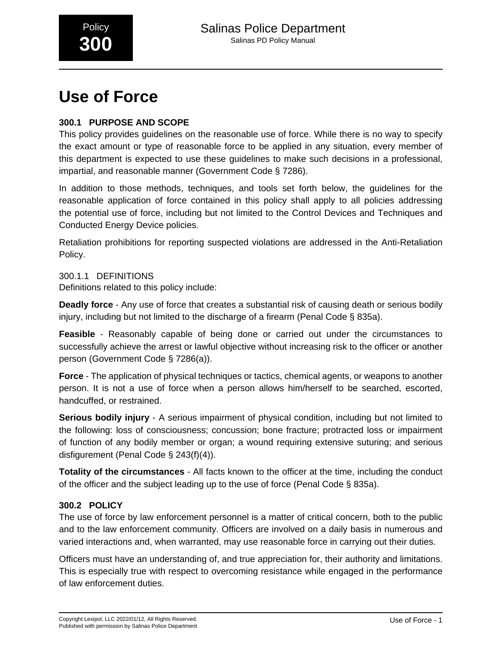# **Use of Force**

# **300.1 PURPOSE AND SCOPE**

This policy provides guidelines on the reasonable use of force. While there is no way to specify the exact amount or type of reasonable force to be applied in any situation, every member of this department is expected to use these guidelines to make such decisions in a professional, impartial, and reasonable manner (Government Code § 7286).

In addition to those methods, techniques, and tools set forth below, the guidelines for the reasonable application of force contained in this policy shall apply to all policies addressing the potential use of force, including but not limited to the Control Devices and Techniques and Conducted Energy Device policies.

Retaliation prohibitions for reporting suspected violations are addressed in the Anti-Retaliation Policy.

# 300.1.1 DEFINITIONS

Definitions related to this policy include:

**Deadly force** - Any use of force that creates a substantial risk of causing death or serious bodily injury, including but not limited to the discharge of a firearm (Penal Code § 835a).

**Feasible** - Reasonably capable of being done or carried out under the circumstances to successfully achieve the arrest or lawful objective without increasing risk to the officer or another person (Government Code § 7286(a)).

**Force** - The application of physical techniques or tactics, chemical agents, or weapons to another person. It is not a use of force when a person allows him/herself to be searched, escorted, handcuffed, or restrained.

**Serious bodily injury** - A serious impairment of physical condition, including but not limited to the following: loss of consciousness; concussion; bone fracture; protracted loss or impairment of function of any bodily member or organ; a wound requiring extensive suturing; and serious disfigurement (Penal Code § 243(f)(4)).

**Totality of the circumstances** - All facts known to the officer at the time, including the conduct of the officer and the subject leading up to the use of force (Penal Code § 835a).

# **300.2 POLICY**

The use of force by law enforcement personnel is a matter of critical concern, both to the public and to the law enforcement community. Officers are involved on a daily basis in numerous and varied interactions and, when warranted, may use reasonable force in carrying out their duties.

Officers must have an understanding of, and true appreciation for, their authority and limitations. This is especially true with respect to overcoming resistance while engaged in the performance of law enforcement duties.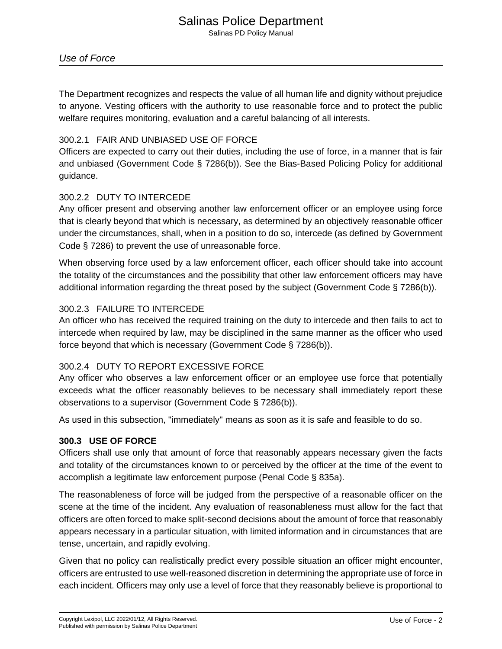# Salinas Police Department

Salinas PD Policy Manual

# Use of Force

The Department recognizes and respects the value of all human life and dignity without prejudice to anyone. Vesting officers with the authority to use reasonable force and to protect the public welfare requires monitoring, evaluation and a careful balancing of all interests.

# 300.2.1 FAIR AND UNBIASED USE OF FORCE

Officers are expected to carry out their duties, including the use of force, in a manner that is fair and unbiased (Government Code § 7286(b)). See the Bias-Based Policing Policy for additional guidance.

# 300.2.2 DUTY TO INTERCEDE

Any officer present and observing another law enforcement officer or an employee using force that is clearly beyond that which is necessary, as determined by an objectively reasonable officer under the circumstances, shall, when in a position to do so, intercede (as defined by Government Code § 7286) to prevent the use of unreasonable force.

When observing force used by a law enforcement officer, each officer should take into account the totality of the circumstances and the possibility that other law enforcement officers may have additional information regarding the threat posed by the subject (Government Code § 7286(b)).

# 300.2.3 FAILURE TO INTERCEDE

An officer who has received the required training on the duty to intercede and then fails to act to intercede when required by law, may be disciplined in the same manner as the officer who used force beyond that which is necessary (Government Code § 7286(b)).

# 300.2.4 DUTY TO REPORT EXCESSIVE FORCE

Any officer who observes a law enforcement officer or an employee use force that potentially exceeds what the officer reasonably believes to be necessary shall immediately report these observations to a supervisor (Government Code § 7286(b)).

As used in this subsection, "immediately" means as soon as it is safe and feasible to do so.

# **300.3 USE OF FORCE**

Officers shall use only that amount of force that reasonably appears necessary given the facts and totality of the circumstances known to or perceived by the officer at the time of the event to accomplish a legitimate law enforcement purpose (Penal Code § 835a).

The reasonableness of force will be judged from the perspective of a reasonable officer on the scene at the time of the incident. Any evaluation of reasonableness must allow for the fact that officers are often forced to make split-second decisions about the amount of force that reasonably appears necessary in a particular situation, with limited information and in circumstances that are tense, uncertain, and rapidly evolving.

Given that no policy can realistically predict every possible situation an officer might encounter, officers are entrusted to use well-reasoned discretion in determining the appropriate use of force in each incident. Officers may only use a level of force that they reasonably believe is proportional to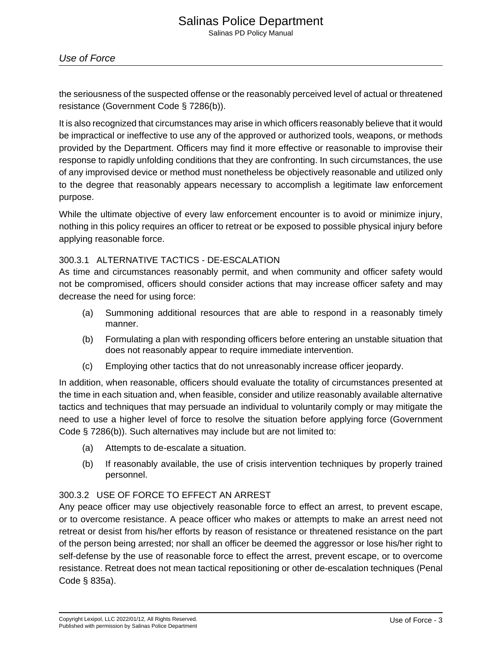Salinas PD Policy Manual

the seriousness of the suspected offense or the reasonably perceived level of actual or threatened resistance (Government Code § 7286(b)).

It is also recognized that circumstances may arise in which officers reasonably believe that it would be impractical or ineffective to use any of the approved or authorized tools, weapons, or methods provided by the Department. Officers may find it more effective or reasonable to improvise their response to rapidly unfolding conditions that they are confronting. In such circumstances, the use of any improvised device or method must nonetheless be objectively reasonable and utilized only to the degree that reasonably appears necessary to accomplish a legitimate law enforcement purpose.

While the ultimate objective of every law enforcement encounter is to avoid or minimize injury, nothing in this policy requires an officer to retreat or be exposed to possible physical injury before applying reasonable force.

# 300.3.1 ALTERNATIVE TACTICS - DE-ESCALATION

As time and circumstances reasonably permit, and when community and officer safety would not be compromised, officers should consider actions that may increase officer safety and may decrease the need for using force:

- (a) Summoning additional resources that are able to respond in a reasonably timely manner.
- (b) Formulating a plan with responding officers before entering an unstable situation that does not reasonably appear to require immediate intervention.
- (c) Employing other tactics that do not unreasonably increase officer jeopardy.

In addition, when reasonable, officers should evaluate the totality of circumstances presented at the time in each situation and, when feasible, consider and utilize reasonably available alternative tactics and techniques that may persuade an individual to voluntarily comply or may mitigate the need to use a higher level of force to resolve the situation before applying force (Government Code § 7286(b)). Such alternatives may include but are not limited to:

- (a) Attempts to de-escalate a situation.
- (b) If reasonably available, the use of crisis intervention techniques by properly trained personnel.

# 300.3.2 USE OF FORCE TO EFFECT AN ARREST

Any peace officer may use objectively reasonable force to effect an arrest, to prevent escape, or to overcome resistance. A peace officer who makes or attempts to make an arrest need not retreat or desist from his/her efforts by reason of resistance or threatened resistance on the part of the person being arrested; nor shall an officer be deemed the aggressor or lose his/her right to self-defense by the use of reasonable force to effect the arrest, prevent escape, or to overcome resistance. Retreat does not mean tactical repositioning or other de-escalation techniques (Penal Code § 835a).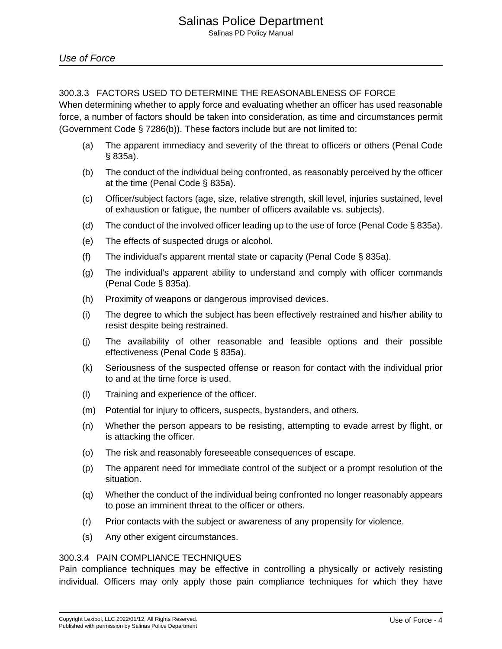# 300.3.3 FACTORS USED TO DETERMINE THE REASONABLENESS OF FORCE

When determining whether to apply force and evaluating whether an officer has used reasonable force, a number of factors should be taken into consideration, as time and circumstances permit (Government Code § 7286(b)). These factors include but are not limited to:

- (a) The apparent immediacy and severity of the threat to officers or others (Penal Code § 835a).
- (b) The conduct of the individual being confronted, as reasonably perceived by the officer at the time (Penal Code § 835a).
- (c) Officer/subject factors (age, size, relative strength, skill level, injuries sustained, level of exhaustion or fatigue, the number of officers available vs. subjects).
- (d) The conduct of the involved officer leading up to the use of force (Penal Code § 835a).
- (e) The effects of suspected drugs or alcohol.
- (f) The individual's apparent mental state or capacity (Penal Code § 835a).
- (g) The individual's apparent ability to understand and comply with officer commands (Penal Code § 835a).
- (h) Proximity of weapons or dangerous improvised devices.
- (i) The degree to which the subject has been effectively restrained and his/her ability to resist despite being restrained.
- (j) The availability of other reasonable and feasible options and their possible effectiveness (Penal Code § 835a).
- (k) Seriousness of the suspected offense or reason for contact with the individual prior to and at the time force is used.
- (l) Training and experience of the officer.
- (m) Potential for injury to officers, suspects, bystanders, and others.
- (n) Whether the person appears to be resisting, attempting to evade arrest by flight, or is attacking the officer.
- (o) The risk and reasonably foreseeable consequences of escape.
- (p) The apparent need for immediate control of the subject or a prompt resolution of the situation.
- (q) Whether the conduct of the individual being confronted no longer reasonably appears to pose an imminent threat to the officer or others.
- (r) Prior contacts with the subject or awareness of any propensity for violence.
- (s) Any other exigent circumstances.

#### 300.3.4 PAIN COMPLIANCE TECHNIQUES

Pain compliance techniques may be effective in controlling a physically or actively resisting individual. Officers may only apply those pain compliance techniques for which they have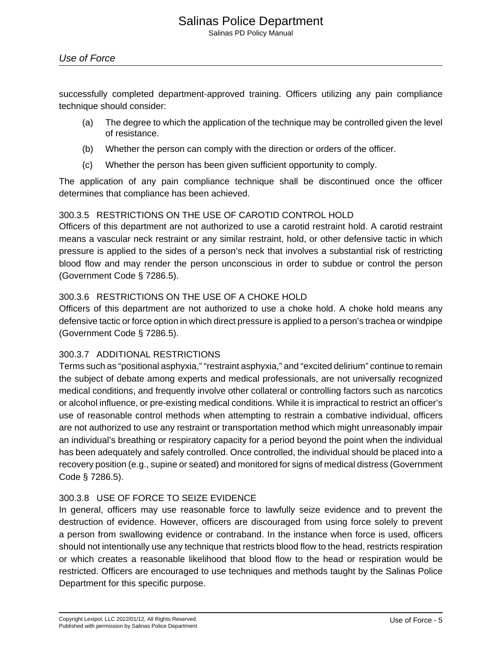Salinas PD Policy Manual

successfully completed department-approved training. Officers utilizing any pain compliance technique should consider:

- (a) The degree to which the application of the technique may be controlled given the level of resistance.
- (b) Whether the person can comply with the direction or orders of the officer.
- (c) Whether the person has been given sufficient opportunity to comply.

The application of any pain compliance technique shall be discontinued once the officer determines that compliance has been achieved.

# 300.3.5 RESTRICTIONS ON THE USE OF CAROTID CONTROL HOLD

Officers of this department are not authorized to use a carotid restraint hold. A carotid restraint means a vascular neck restraint or any similar restraint, hold, or other defensive tactic in which pressure is applied to the sides of a person's neck that involves a substantial risk of restricting blood flow and may render the person unconscious in order to subdue or control the person (Government Code § 7286.5).

# 300.3.6 RESTRICTIONS ON THE USE OF A CHOKE HOLD

Officers of this department are not authorized to use a choke hold. A choke hold means any defensive tactic or force option in which direct pressure is applied to a person's trachea or windpipe (Government Code § 7286.5).

# 300.3.7 ADDITIONAL RESTRICTIONS

Terms such as "positional asphyxia," "restraint asphyxia," and "excited delirium" continue to remain the subject of debate among experts and medical professionals, are not universally recognized medical conditions, and frequently involve other collateral or controlling factors such as narcotics or alcohol influence, or pre-existing medical conditions. While it is impractical to restrict an officer's use of reasonable control methods when attempting to restrain a combative individual, officers are not authorized to use any restraint or transportation method which might unreasonably impair an individual's breathing or respiratory capacity for a period beyond the point when the individual has been adequately and safely controlled. Once controlled, the individual should be placed into a recovery position (e.g., supine or seated) and monitored for signs of medical distress (Government Code § 7286.5).

# 300.3.8 USE OF FORCE TO SEIZE EVIDENCE

In general, officers may use reasonable force to lawfully seize evidence and to prevent the destruction of evidence. However, officers are discouraged from using force solely to prevent a person from swallowing evidence or contraband. In the instance when force is used, officers should not intentionally use any technique that restricts blood flow to the head, restricts respiration or which creates a reasonable likelihood that blood flow to the head or respiration would be restricted. Officers are encouraged to use techniques and methods taught by the Salinas Police Department for this specific purpose.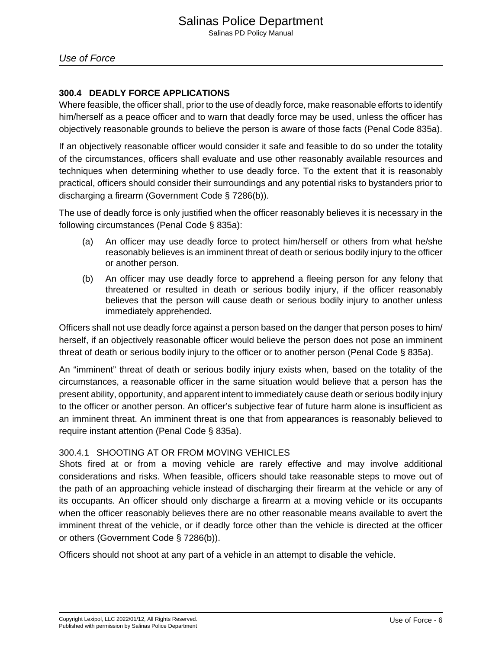# **300.4 DEADLY FORCE APPLICATIONS**

Where feasible, the officer shall, prior to the use of deadly force, make reasonable efforts to identify him/herself as a peace officer and to warn that deadly force may be used, unless the officer has objectively reasonable grounds to believe the person is aware of those facts (Penal Code 835a).

If an objectively reasonable officer would consider it safe and feasible to do so under the totality of the circumstances, officers shall evaluate and use other reasonably available resources and techniques when determining whether to use deadly force. To the extent that it is reasonably practical, officers should consider their surroundings and any potential risks to bystanders prior to discharging a firearm (Government Code § 7286(b)).

The use of deadly force is only justified when the officer reasonably believes it is necessary in the following circumstances (Penal Code § 835a):

- (a) An officer may use deadly force to protect him/herself or others from what he/she reasonably believes is an imminent threat of death or serious bodily injury to the officer or another person.
- (b) An officer may use deadly force to apprehend a fleeing person for any felony that threatened or resulted in death or serious bodily injury, if the officer reasonably believes that the person will cause death or serious bodily injury to another unless immediately apprehended.

Officers shall not use deadly force against a person based on the danger that person poses to him/ herself, if an objectively reasonable officer would believe the person does not pose an imminent threat of death or serious bodily injury to the officer or to another person (Penal Code § 835a).

An "imminent" threat of death or serious bodily injury exists when, based on the totality of the circumstances, a reasonable officer in the same situation would believe that a person has the present ability, opportunity, and apparent intent to immediately cause death or serious bodily injury to the officer or another person. An officer's subjective fear of future harm alone is insufficient as an imminent threat. An imminent threat is one that from appearances is reasonably believed to require instant attention (Penal Code § 835a).

# 300.4.1 SHOOTING AT OR FROM MOVING VEHICLES

Shots fired at or from a moving vehicle are rarely effective and may involve additional considerations and risks. When feasible, officers should take reasonable steps to move out of the path of an approaching vehicle instead of discharging their firearm at the vehicle or any of its occupants. An officer should only discharge a firearm at a moving vehicle or its occupants when the officer reasonably believes there are no other reasonable means available to avert the imminent threat of the vehicle, or if deadly force other than the vehicle is directed at the officer or others (Government Code § 7286(b)).

Officers should not shoot at any part of a vehicle in an attempt to disable the vehicle.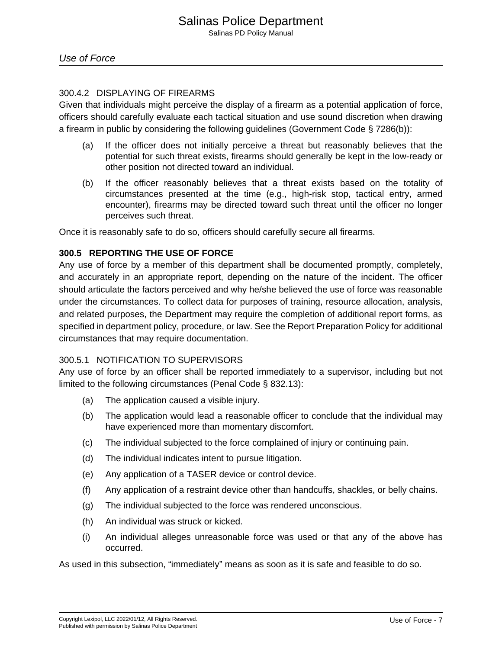# 300.4.2 DISPLAYING OF FIREARMS

Given that individuals might perceive the display of a firearm as a potential application of force, officers should carefully evaluate each tactical situation and use sound discretion when drawing a firearm in public by considering the following guidelines (Government Code § 7286(b)):

- (a) If the officer does not initially perceive a threat but reasonably believes that the potential for such threat exists, firearms should generally be kept in the low-ready or other position not directed toward an individual.
- (b) If the officer reasonably believes that a threat exists based on the totality of circumstances presented at the time (e.g., high-risk stop, tactical entry, armed encounter), firearms may be directed toward such threat until the officer no longer perceives such threat.

Once it is reasonably safe to do so, officers should carefully secure all firearms.

# **300.5 REPORTING THE USE OF FORCE**

Any use of force by a member of this department shall be documented promptly, completely, and accurately in an appropriate report, depending on the nature of the incident. The officer should articulate the factors perceived and why he/she believed the use of force was reasonable under the circumstances. To collect data for purposes of training, resource allocation, analysis, and related purposes, the Department may require the completion of additional report forms, as specified in department policy, procedure, or law. See the Report Preparation Policy for additional circumstances that may require documentation.

# 300.5.1 NOTIFICATION TO SUPERVISORS

Any use of force by an officer shall be reported immediately to a supervisor, including but not limited to the following circumstances (Penal Code § 832.13):

- (a) The application caused a visible injury.
- (b) The application would lead a reasonable officer to conclude that the individual may have experienced more than momentary discomfort.
- (c) The individual subjected to the force complained of injury or continuing pain.
- (d) The individual indicates intent to pursue litigation.
- (e) Any application of a TASER device or control device.
- (f) Any application of a restraint device other than handcuffs, shackles, or belly chains.
- (g) The individual subjected to the force was rendered unconscious.
- (h) An individual was struck or kicked.
- (i) An individual alleges unreasonable force was used or that any of the above has occurred.

As used in this subsection, "immediately" means as soon as it is safe and feasible to do so.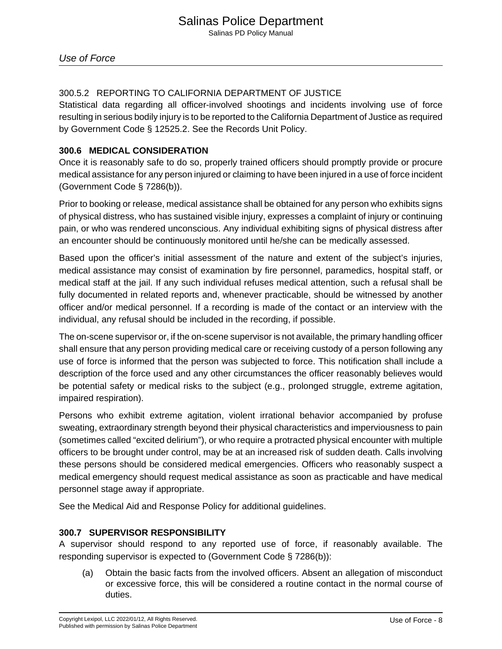Use of Force

# 300.5.2 REPORTING TO CALIFORNIA DEPARTMENT OF JUSTICE

Statistical data regarding all officer-involved shootings and incidents involving use of force resulting in serious bodily injury is to be reported to the California Department of Justice as required by Government Code § 12525.2. See the Records Unit Policy.

# **300.6 MEDICAL CONSIDERATION**

Once it is reasonably safe to do so, properly trained officers should promptly provide or procure medical assistance for any person injured or claiming to have been injured in a use of force incident (Government Code § 7286(b)).

Prior to booking or release, medical assistance shall be obtained for any person who exhibits signs of physical distress, who has sustained visible injury, expresses a complaint of injury or continuing pain, or who was rendered unconscious. Any individual exhibiting signs of physical distress after an encounter should be continuously monitored until he/she can be medically assessed.

Based upon the officer's initial assessment of the nature and extent of the subject's injuries, medical assistance may consist of examination by fire personnel, paramedics, hospital staff, or medical staff at the jail. If any such individual refuses medical attention, such a refusal shall be fully documented in related reports and, whenever practicable, should be witnessed by another officer and/or medical personnel. If a recording is made of the contact or an interview with the individual, any refusal should be included in the recording, if possible.

The on-scene supervisor or, if the on-scene supervisor is not available, the primary handling officer shall ensure that any person providing medical care or receiving custody of a person following any use of force is informed that the person was subjected to force. This notification shall include a description of the force used and any other circumstances the officer reasonably believes would be potential safety or medical risks to the subject (e.g., prolonged struggle, extreme agitation, impaired respiration).

Persons who exhibit extreme agitation, violent irrational behavior accompanied by profuse sweating, extraordinary strength beyond their physical characteristics and imperviousness to pain (sometimes called "excited delirium"), or who require a protracted physical encounter with multiple officers to be brought under control, may be at an increased risk of sudden death. Calls involving these persons should be considered medical emergencies. Officers who reasonably suspect a medical emergency should request medical assistance as soon as practicable and have medical personnel stage away if appropriate.

See the Medical Aid and Response Policy for additional guidelines.

# **300.7 SUPERVISOR RESPONSIBILITY**

A supervisor should respond to any reported use of force, if reasonably available. The responding supervisor is expected to (Government Code § 7286(b)):

(a) Obtain the basic facts from the involved officers. Absent an allegation of misconduct or excessive force, this will be considered a routine contact in the normal course of duties.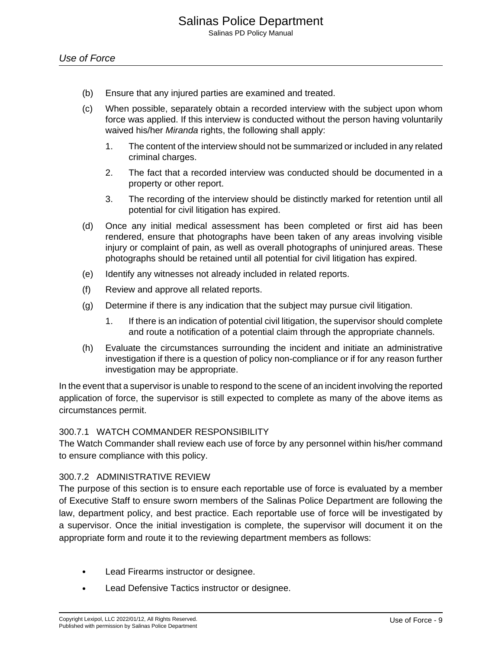- (b) Ensure that any injured parties are examined and treated.
- (c) When possible, separately obtain a recorded interview with the subject upon whom force was applied. If this interview is conducted without the person having voluntarily waived his/her Miranda rights, the following shall apply:
	- 1. The content of the interview should not be summarized or included in any related criminal charges.
	- 2. The fact that a recorded interview was conducted should be documented in a property or other report.
	- 3. The recording of the interview should be distinctly marked for retention until all potential for civil litigation has expired.
- (d) Once any initial medical assessment has been completed or first aid has been rendered, ensure that photographs have been taken of any areas involving visible injury or complaint of pain, as well as overall photographs of uninjured areas. These photographs should be retained until all potential for civil litigation has expired.
- (e) Identify any witnesses not already included in related reports.
- (f) Review and approve all related reports.
- (g) Determine if there is any indication that the subject may pursue civil litigation.
	- 1. If there is an indication of potential civil litigation, the supervisor should complete and route a notification of a potential claim through the appropriate channels.
- (h) Evaluate the circumstances surrounding the incident and initiate an administrative investigation if there is a question of policy non-compliance or if for any reason further investigation may be appropriate.

In the event that a supervisor is unable to respond to the scene of an incident involving the reported application of force, the supervisor is still expected to complete as many of the above items as circumstances permit.

# 300.7.1 WATCH COMMANDER RESPONSIBILITY

The Watch Commander shall review each use of force by any personnel within his/her command to ensure compliance with this policy.

# 300.7.2 ADMINISTRATIVE REVIEW

The purpose of this section is to ensure each reportable use of force is evaluated by a member of Executive Staff to ensure sworn members of the Salinas Police Department are following the law, department policy, and best practice. Each reportable use of force will be investigated by a supervisor. Once the initial investigation is complete, the supervisor will document it on the appropriate form and route it to the reviewing department members as follows:

- Lead Firearms instructor or designee.
- Lead Defensive Tactics instructor or designee.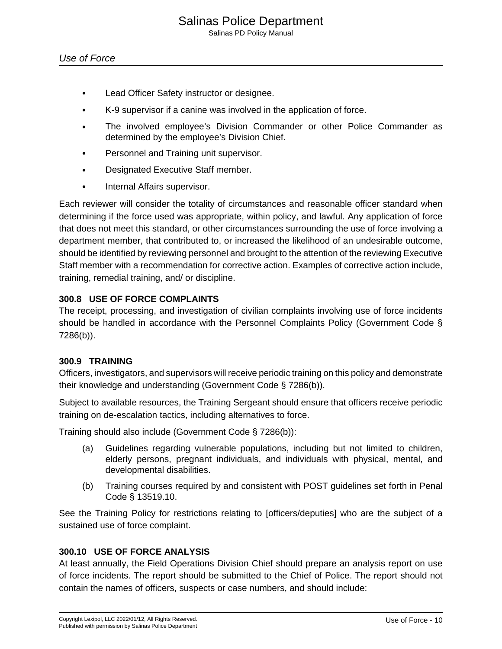Salinas PD Policy Manual

- Lead Officer Safety instructor or designee.
- K-9 supervisor if a canine was involved in the application of force.
- The involved employee's Division Commander or other Police Commander as determined by the employee's Division Chief.
- Personnel and Training unit supervisor.
- Designated Executive Staff member.
- Internal Affairs supervisor.

Each reviewer will consider the totality of circumstances and reasonable officer standard when determining if the force used was appropriate, within policy, and lawful. Any application of force that does not meet this standard, or other circumstances surrounding the use of force involving a department member, that contributed to, or increased the likelihood of an undesirable outcome, should be identified by reviewing personnel and brought to the attention of the reviewing Executive Staff member with a recommendation for corrective action. Examples of corrective action include, training, remedial training, and/ or discipline.

# **300.8 USE OF FORCE COMPLAINTS**

The receipt, processing, and investigation of civilian complaints involving use of force incidents should be handled in accordance with the Personnel Complaints Policy (Government Code § 7286(b)).

# **300.9 TRAINING**

Officers, investigators, and supervisors will receive periodic training on this policy and demonstrate their knowledge and understanding (Government Code § 7286(b)).

Subject to available resources, the Training Sergeant should ensure that officers receive periodic training on de-escalation tactics, including alternatives to force.

Training should also include (Government Code § 7286(b)):

- (a) Guidelines regarding vulnerable populations, including but not limited to children, elderly persons, pregnant individuals, and individuals with physical, mental, and developmental disabilities.
- (b) Training courses required by and consistent with POST guidelines set forth in Penal Code § 13519.10.

See the Training Policy for restrictions relating to [officers/deputies] who are the subject of a sustained use of force complaint.

# **300.10 USE OF FORCE ANALYSIS**

At least annually, the Field Operations Division Chief should prepare an analysis report on use of force incidents. The report should be submitted to the Chief of Police. The report should not contain the names of officers, suspects or case numbers, and should include: